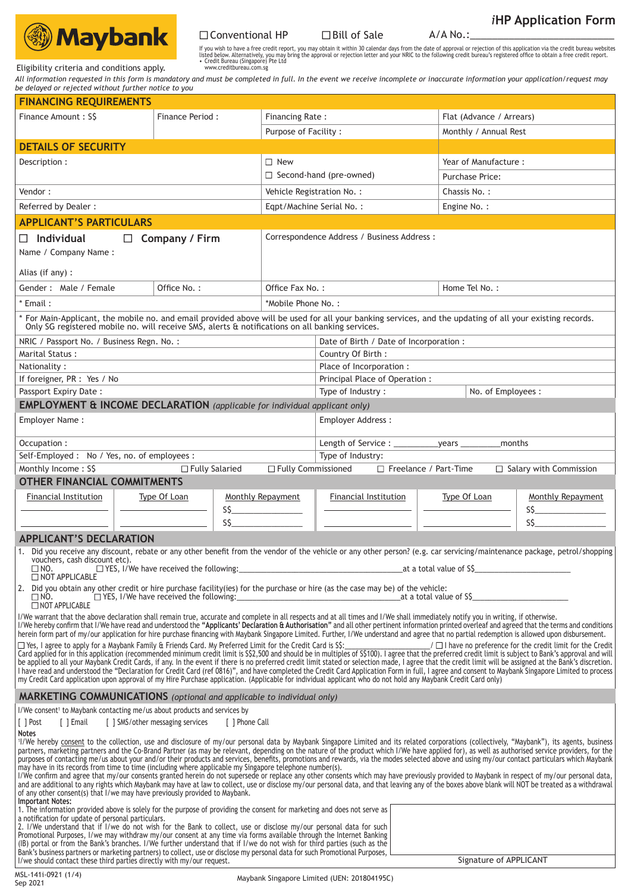

■ Conventional HP ■ Bill of Sale A/A No.:\_\_\_\_\_\_\_\_\_\_\_\_\_\_\_\_\_\_\_\_\_\_\_\_\_\_

If you wish to have a free credit report, you may obtain it within 30 calendar days from the date of approval or rejection of this application via the credit bureau websites<br>listed below. Alternatively, you may bring the

Eligibility criteria and conditions apply.

*All information requested in this form is mandatory and must be completed in full. In the event we receive incomplete or inaccurate information your application/request may be delayed or rejected without further notice to you*

| <b>FINANCING REQUIREMENTS</b>                                                                                                                                                                                                                                                                                                                                                                                   |                                  |                      |                                             |                                         |                                |                          |                                                                                                                                                                                                                                |  |  |
|-----------------------------------------------------------------------------------------------------------------------------------------------------------------------------------------------------------------------------------------------------------------------------------------------------------------------------------------------------------------------------------------------------------------|----------------------------------|----------------------|---------------------------------------------|-----------------------------------------|--------------------------------|--------------------------|--------------------------------------------------------------------------------------------------------------------------------------------------------------------------------------------------------------------------------|--|--|
| Finance Amount: S\$                                                                                                                                                                                                                                                                                                                                                                                             | Finance Period:                  |                      | Financing Rate:                             |                                         |                                | Flat (Advance / Arrears) |                                                                                                                                                                                                                                |  |  |
|                                                                                                                                                                                                                                                                                                                                                                                                                 |                                  | Purpose of Facility: |                                             | Monthly / Annual Rest                   |                                |                          |                                                                                                                                                                                                                                |  |  |
|                                                                                                                                                                                                                                                                                                                                                                                                                 |                                  |                      |                                             |                                         |                                |                          |                                                                                                                                                                                                                                |  |  |
| <b>DETAILS OF SECURITY</b>                                                                                                                                                                                                                                                                                                                                                                                      |                                  |                      |                                             |                                         |                                |                          |                                                                                                                                                                                                                                |  |  |
| Description:                                                                                                                                                                                                                                                                                                                                                                                                    |                                  |                      | $\Box$ New                                  |                                         | Year of Manufacture:           |                          |                                                                                                                                                                                                                                |  |  |
|                                                                                                                                                                                                                                                                                                                                                                                                                 |                                  |                      | $\Box$ Second-hand (pre-owned)              |                                         | Purchase Price:                |                          |                                                                                                                                                                                                                                |  |  |
| Vendor:                                                                                                                                                                                                                                                                                                                                                                                                         |                                  |                      | Vehicle Registration No.:                   |                                         |                                | Chassis No.:             |                                                                                                                                                                                                                                |  |  |
| Referred by Dealer :                                                                                                                                                                                                                                                                                                                                                                                            |                                  |                      | Eqpt/Machine Serial No.:<br>Engine No.:     |                                         |                                |                          |                                                                                                                                                                                                                                |  |  |
| <b>APPLICANT'S PARTICULARS</b>                                                                                                                                                                                                                                                                                                                                                                                  |                                  |                      |                                             |                                         |                                |                          |                                                                                                                                                                                                                                |  |  |
| $\Box$ Individual<br>$\Box$ Company / Firm                                                                                                                                                                                                                                                                                                                                                                      |                                  |                      | Correspondence Address / Business Address : |                                         |                                |                          |                                                                                                                                                                                                                                |  |  |
| Name / Company Name:                                                                                                                                                                                                                                                                                                                                                                                            |                                  |                      |                                             |                                         |                                |                          |                                                                                                                                                                                                                                |  |  |
|                                                                                                                                                                                                                                                                                                                                                                                                                 |                                  |                      |                                             |                                         |                                |                          |                                                                                                                                                                                                                                |  |  |
| Alias (if any) :                                                                                                                                                                                                                                                                                                                                                                                                |                                  |                      |                                             |                                         |                                |                          |                                                                                                                                                                                                                                |  |  |
| Gender: Male / Female                                                                                                                                                                                                                                                                                                                                                                                           | Office No.:                      |                      |                                             | Office Fax No.:                         |                                | Home Tel No.:            |                                                                                                                                                                                                                                |  |  |
| * Email :                                                                                                                                                                                                                                                                                                                                                                                                       |                                  |                      | *Mobile Phone No.:                          |                                         |                                |                          |                                                                                                                                                                                                                                |  |  |
| * For Main-Applicant, the mobile no. and email provided above will be used for all your banking services, and the updating of all your existing records.<br>Only SG registered mobile no. will receive SMS, alerts & notification                                                                                                                                                                               |                                  |                      |                                             |                                         |                                |                          |                                                                                                                                                                                                                                |  |  |
| NRIC / Passport No. / Business Regn. No.:                                                                                                                                                                                                                                                                                                                                                                       |                                  |                      |                                             | Date of Birth / Date of Incorporation : |                                |                          |                                                                                                                                                                                                                                |  |  |
| Marital Status:                                                                                                                                                                                                                                                                                                                                                                                                 |                                  | Country Of Birth:    |                                             |                                         |                                |                          |                                                                                                                                                                                                                                |  |  |
| Nationality:                                                                                                                                                                                                                                                                                                                                                                                                    |                                  |                      |                                             | Place of Incorporation :                |                                |                          |                                                                                                                                                                                                                                |  |  |
| If foreigner, PR : Yes / No                                                                                                                                                                                                                                                                                                                                                                                     |                                  |                      |                                             |                                         | Principal Place of Operation : |                          |                                                                                                                                                                                                                                |  |  |
| Passport Expiry Date:                                                                                                                                                                                                                                                                                                                                                                                           |                                  | Type of Industry:    |                                             | No. of Employees :                      |                                |                          |                                                                                                                                                                                                                                |  |  |
| <b>EMPLOYMENT &amp; INCOME DECLARATION</b> (applicable for individual applicant only)                                                                                                                                                                                                                                                                                                                           |                                  |                      |                                             |                                         |                                |                          |                                                                                                                                                                                                                                |  |  |
| Employer Name:                                                                                                                                                                                                                                                                                                                                                                                                  |                                  |                      |                                             |                                         | Employer Address:              |                          |                                                                                                                                                                                                                                |  |  |
| Occupation:                                                                                                                                                                                                                                                                                                                                                                                                     |                                  |                      |                                             |                                         |                                |                          |                                                                                                                                                                                                                                |  |  |
| Self-Employed: No / Yes, no. of employees:                                                                                                                                                                                                                                                                                                                                                                      |                                  |                      |                                             | Type of Industry:                       |                                |                          |                                                                                                                                                                                                                                |  |  |
| Monthly Income: S\$                                                                                                                                                                                                                                                                                                                                                                                             | □ Fully Salaried                 |                      |                                             | □ Fully Commissioned                    | Freelance / Part-Time          |                          | $\Box$ Salary with Commission                                                                                                                                                                                                  |  |  |
| <b>OTHER FINANCIAL COMMITMENTS</b>                                                                                                                                                                                                                                                                                                                                                                              |                                  |                      |                                             |                                         |                                |                          |                                                                                                                                                                                                                                |  |  |
| <b>Financial Institution</b>                                                                                                                                                                                                                                                                                                                                                                                    | Type Of Loan                     |                      | Monthly Repayment                           | <b>Financial Institution</b>            |                                | Type Of Loan             | Monthly Repayment                                                                                                                                                                                                              |  |  |
|                                                                                                                                                                                                                                                                                                                                                                                                                 |                                  |                      |                                             |                                         |                                |                          | SS and the state of the state of the state of the state of the state of the state of the state of the state of the state of the state of the state of the state of the state of the state of the state of the state of the sta |  |  |
|                                                                                                                                                                                                                                                                                                                                                                                                                 |                                  | S\$                  |                                             |                                         |                                |                          | S\$                                                                                                                                                                                                                            |  |  |
| <b>APPLICANT'S DECLARATION</b>                                                                                                                                                                                                                                                                                                                                                                                  |                                  |                      |                                             |                                         |                                |                          |                                                                                                                                                                                                                                |  |  |
| 1. Did you receive any discount, rebate or any other benefit from the vendor of the vehicle or any other person? (e.g. car servicing/maintenance package, petrol/shopping<br>vouchers, cash discount etc).                                                                                                                                                                                                      |                                  |                      |                                             |                                         |                                |                          |                                                                                                                                                                                                                                |  |  |
| $\square$ NO.                                                                                                                                                                                                                                                                                                                                                                                                   |                                  |                      |                                             |                                         |                                |                          |                                                                                                                                                                                                                                |  |  |
| NOT APPLICABLE<br>2. Did you obtain any other credit or hire purchase facility(ies) for the purchase or hire (as the case may be) of the vehicle:                                                                                                                                                                                                                                                               |                                  |                      |                                             |                                         |                                |                          |                                                                                                                                                                                                                                |  |  |
| $\square$ NO.<br>NOT APPLICABLE                                                                                                                                                                                                                                                                                                                                                                                 |                                  |                      |                                             |                                         |                                |                          |                                                                                                                                                                                                                                |  |  |
| I/We warrant that the above declaration shall remain true, accurate and complete in all respects and at all times and I/We shall immediately notify you in writing, if otherwise.<br>I/We hereby confirm that I/We have read and understood the "Applicants' Declaration & Authorisation" and all other pertinent information printed overleaf and agreed that the terms and conditions                         |                                  |                      |                                             |                                         |                                |                          |                                                                                                                                                                                                                                |  |  |
| herein form part of my/our application for hire purchase financing with Maybank Singapore Limited. Further, I/We understand and agree that no partial redemption is allowed upon disbursement.<br>$\Box$ Yes, I agree to apply for a Maybank Family & Friends Card. My Preferred Limit for the Credit Card is S\$:                                                                                              |                                  |                      |                                             |                                         |                                |                          | $\Box$   have no preference for the credit limit for the Credit                                                                                                                                                                |  |  |
| Card applied for in this application (recommended minimum credit limit is \$22,500 and should be in multiples of \$\$100). I agree that the preferred credit limit is subject to Bank's approval and will                                                                                                                                                                                                       |                                  |                      |                                             |                                         |                                |                          |                                                                                                                                                                                                                                |  |  |
| be applied to all your Maybank Credit Cards, if any. In the event if there is no preferred credit limit stated or selection made, I agree that the credit limit will be assigned at the Bank's discretion.<br>I have read and understood the "Declaration for Credit Card (ref 0816)", and have completed the Credit Card Application Form in full, I agree and consent to Maybank Singapore Limited to process |                                  |                      |                                             |                                         |                                |                          |                                                                                                                                                                                                                                |  |  |
| my Credit Card application upon approval of my Hire Purchase application. (Applicable for individual applicant who do not hold any Maybank Credit Card only)                                                                                                                                                                                                                                                    |                                  |                      |                                             |                                         |                                |                          |                                                                                                                                                                                                                                |  |  |
| MARKETING COMMUNICATIONS (optional and applicable to individual only)                                                                                                                                                                                                                                                                                                                                           |                                  |                      |                                             |                                         |                                |                          |                                                                                                                                                                                                                                |  |  |
| I/We consent <sup>1</sup> to Maybank contacting me/us about products and services by                                                                                                                                                                                                                                                                                                                            |                                  |                      |                                             |                                         |                                |                          |                                                                                                                                                                                                                                |  |  |
| [ ] Post<br>[ ] Email                                                                                                                                                                                                                                                                                                                                                                                           | [ ] SMS/other messaging services | [ ] Phone Call       |                                             |                                         |                                |                          |                                                                                                                                                                                                                                |  |  |
| Notes<br>1/We hereby consent to the collection, use and disclosure of my/our personal data by Maybank Singapore Limited and its related corporations (collectively, "Maybank"), its agents, business                                                                                                                                                                                                            |                                  |                      |                                             |                                         |                                |                          |                                                                                                                                                                                                                                |  |  |
| partners, marketing partners and the Co-Brand Partner (as may be relevant, depending on the nature of the product which I/We have applied for), as well as authorised service providers, for the                                                                                                                                                                                                                |                                  |                      |                                             |                                         |                                |                          |                                                                                                                                                                                                                                |  |  |
| purposes of contacting me/us about your and/or their products and services, benefits, promotions and rewards, via the modes selected above and using my/our contact particulars which Maybank<br>may have in its records from time to time (including where applicable my Singapore telephone number(s).                                                                                                        |                                  |                      |                                             |                                         |                                |                          |                                                                                                                                                                                                                                |  |  |
| I/We confirm and agree that my/our consents granted herein do not supersede or replace any other consents which may have previously provided to Maybank in respect of my/our personal data,<br>and are additional to any rights which Maybank may have at law to collect, use or disclose my/our personal data, and that leaving any of the boxes above blank will NOT be treated as a withdrawal               |                                  |                      |                                             |                                         |                                |                          |                                                                                                                                                                                                                                |  |  |
| of any other consent(s) that I/we may have previously provided to Maybank.                                                                                                                                                                                                                                                                                                                                      |                                  |                      |                                             |                                         |                                |                          |                                                                                                                                                                                                                                |  |  |
| <b>Important Notes:</b><br>1. The information provided above is solely for the purpose of providing the consent for marketing and does not serve as                                                                                                                                                                                                                                                             |                                  |                      |                                             |                                         |                                |                          |                                                                                                                                                                                                                                |  |  |
| a notification for update of personal particulars.<br>2. I/We understand that if I/we do not wish for the Bank to collect, use or disclose my/our personal data for such                                                                                                                                                                                                                                        |                                  |                      |                                             |                                         |                                |                          |                                                                                                                                                                                                                                |  |  |
| Promotional Purposes, I/we may withdraw my/our consent at any time via forms available through the Internet Banking                                                                                                                                                                                                                                                                                             |                                  |                      |                                             |                                         |                                |                          |                                                                                                                                                                                                                                |  |  |
| (IB) portal or from the Bank's branches. I/We further understand that if I/we do not wish for third parties (such as the<br>Bank's business partners or marketing partners) to collect, use or disclose my personal data for such Promotional Purposes,                                                                                                                                                         |                                  |                      |                                             |                                         |                                |                          |                                                                                                                                                                                                                                |  |  |
| I/we should contact these third parties directly with my/our request.                                                                                                                                                                                                                                                                                                                                           |                                  |                      |                                             |                                         |                                | Signature of APPLICANT   |                                                                                                                                                                                                                                |  |  |